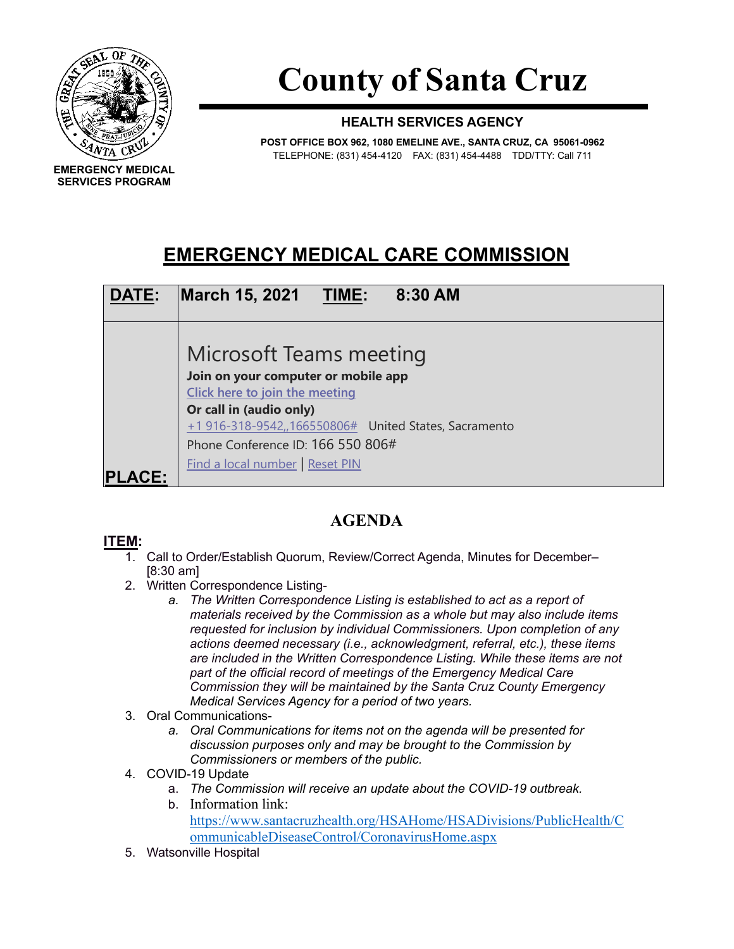

**SERVICES PROGRAM**

**County of Santa Cruz**

## **HEALTH SERVICES AGENCY**

**POST OFFICE BOX 962, 1080 EMELINE AVE., SANTA CRUZ, CA 95061-0962** TELEPHONE: (831) 454-4120 FAX: (831) 454-4488 TDD/TTY: Call 711

## **EMERGENCY MEDICAL CARE COMMISSION**



## **AGENDA**

## **ITEM:**

- 1. Call to Order/Establish Quorum, Review/Correct Agenda, Minutes for December– [8:30 am]
- 2. Written Correspondence Listing
	- *a. The Written Correspondence Listing is established to act as a report of materials received by the Commission as a whole but may also include items requested for inclusion by individual Commissioners. Upon completion of any actions deemed necessary (i.e., acknowledgment, referral, etc.), these items are included in the Written Correspondence Listing. While these items are not part of the official record of meetings of the Emergency Medical Care Commission they will be maintained by the Santa Cruz County Emergency Medical Services Agency for a period of two years.*
- 3. Oral Communications
	- *a. Oral Communications for items not on the agenda will be presented for discussion purposes only and may be brought to the Commission by Commissioners or members of the public.*
- 4. COVID-19 Update
	- a. *The Commission will receive an update about the COVID-19 outbreak.*
		- b. Information link: [https://www.santacruzhealth.org/HSAHome/HSADivisions/PublicHealth/C](https://www.santacruzhealth.org/HSAHome/HSADivisions/PublicHealth/CommunicableDiseaseControl/CoronavirusHome.aspx) [ommunicableDiseaseControl/CoronavirusHome.aspx](https://www.santacruzhealth.org/HSAHome/HSADivisions/PublicHealth/CommunicableDiseaseControl/CoronavirusHome.aspx)
- 5. Watsonville Hospital